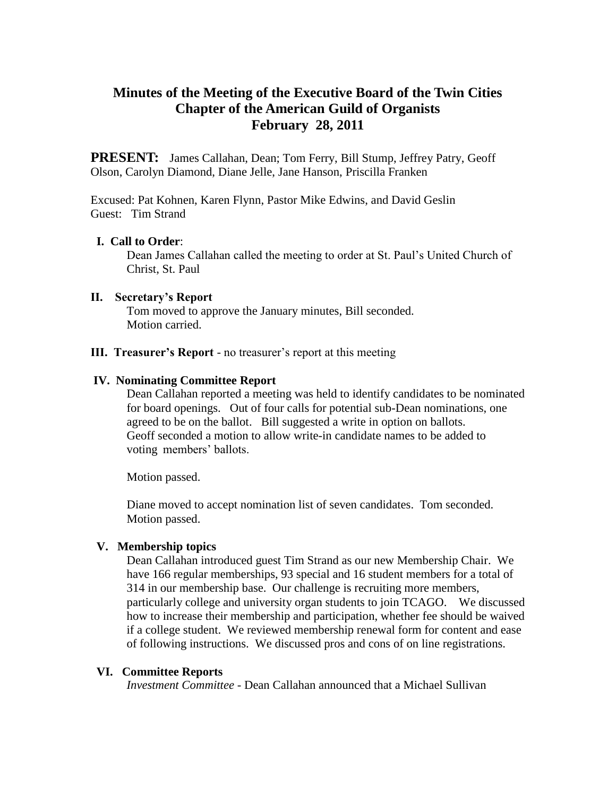# **Minutes of the Meeting of the Executive Board of the Twin Cities Chapter of the American Guild of Organists February 28, 2011**

**PRESENT:** James Callahan, Dean; Tom Ferry, Bill Stump, Jeffrey Patry, Geoff Olson, Carolyn Diamond, Diane Jelle, Jane Hanson, Priscilla Franken

Excused: Pat Kohnen, Karen Flynn, Pastor Mike Edwins, and David Geslin Guest: Tim Strand

# **I. Call to Order**:

Dean James Callahan called the meeting to order at St. Paul's United Church of Christ, St. Paul

## **II. Secretary's Report**

 Tom moved to approve the January minutes, Bill seconded. Motion carried.

## **III. Treasurer's Report** - no treasurer's report at this meeting

## **IV. Nominating Committee Report**

 Dean Callahan reported a meeting was held to identify candidates to be nominated for board openings. Out of four calls for potential sub-Dean nominations, one agreed to be on the ballot. Bill suggested a write in option on ballots. Geoff seconded a motion to allow write-in candidate names to be added to voting members' ballots.

Motion passed.

 Diane moved to accept nomination list of seven candidates. Tom seconded. Motion passed.

# **V. Membership topics**

Dean Callahan introduced guest Tim Strand as our new Membership Chair. We have 166 regular memberships, 93 special and 16 student members for a total of 314 in our membership base. Our challenge is recruiting more members, particularly college and university organ students to join TCAGO. We discussed how to increase their membership and participation, whether fee should be waived if a college student. We reviewed membership renewal form for content and ease of following instructions. We discussed pros and cons of on line registrations.

## **VI. Committee Reports**

*Investment Committee* - Dean Callahan announced that a Michael Sullivan